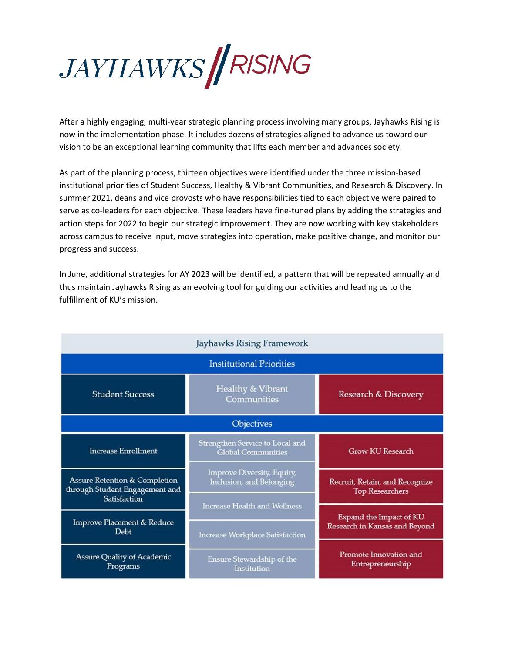

After a highly engaging, multi-year strategic planning process involving many groups, Jayhawks Rising is now in the implementation phase. It includes dozens of strategies aligned to advance us toward our vision to be an exceptional learning community that lifts each member and advances society.

As part of the planning process, thirteen objectives were identified under the three mission-based institutional priorities of Student Success, Healthy & Vibrant Communities, and Research & Discovery. In summer 2021, deans and vice provosts who have responsibilities tied to each objective were paired to serve as co-leaders for each objective. These leaders have fine-tuned plans by adding the strategies and action steps for 2022 to begin our strategic improvement. They are now working with key stakeholders across campus to receive input, move strategies into operation, make positive change, and monitor our progress and success.

In June, additional strategies for AY 2023 will be identified, a pattern that will be repeated annually and thus maintain Jayhawks Rising as an evolving tool for guiding our activities and leading us to the fulfillment of KU's mission.

| Jayhawks Rising Framework                                                                                                                   |                                                               |                                                          |
|---------------------------------------------------------------------------------------------------------------------------------------------|---------------------------------------------------------------|----------------------------------------------------------|
| <b>Institutional Priorities</b>                                                                                                             |                                                               |                                                          |
| <b>Student Success</b>                                                                                                                      | Healthy & Vibrant<br>Communities                              | Research & Discovery                                     |
| Objectives                                                                                                                                  |                                                               |                                                          |
| <b>Increase Enrollment</b>                                                                                                                  | Strengthen Service to Local and<br><b>Global Communities</b>  | Grow KU Research                                         |
| <b>Assure Retention &amp; Completion</b><br>through Student Engagement and<br>Satisfaction<br><b>Improve Placement &amp; Reduce</b><br>Debt | <b>Improve Diversity, Equity,</b><br>Inclusion, and Belonging | Recruit, Retain, and Recognize<br><b>Top Researchers</b> |
|                                                                                                                                             | <b>Increase Health and Wellness</b>                           | Expand the Impact of KU<br>Research in Kansas and Beyond |
|                                                                                                                                             | <b>Increase Workplace Satisfaction</b>                        |                                                          |
| <b>Assure Quality of Academic</b><br>Programs                                                                                               | Ensure Stewardship of the<br>Institution                      | Promote Innovation and<br>Entrepreneurship               |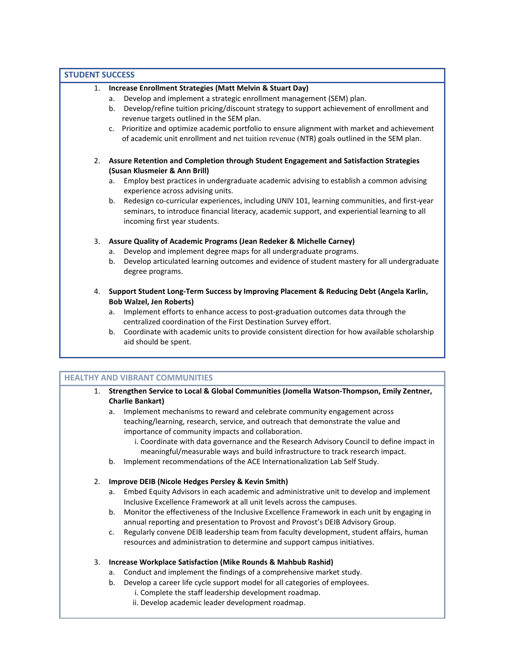# **STUDENT SUCCESS**

# 1. **Increase Enrollment Strategies (Matt Melvin & Stuart Day)**

- a. Develop and implement a strategic enrollment management (SEM) plan.
- b. Develop/refine tuition pricing/discount strategy to support achievement of enrollment and revenue targets outlined in the SEM plan.
- c. Prioritize and optimize academic portfolio to ensure alignment with market and achievement of academic unit enrollment and net tuition revenue (NTR) goals outlined in the SEM plan.
- 2. **Assure Retention and Completion through Student Engagement and Satisfaction Strategies (Susan Klusmeier & Ann Brill)**
	- a. Employ best practices in undergraduate academic advising to establish a common advising experience across advising units.
	- b. Redesign co-curricular experiences, including UNIV 101, learning communities, and first-year seminars, to introduce financial literacy, academic support, and experiential learning to all incoming first year students.

## 3. **Assure Quality of Academic Programs (Jean Redeker & Michelle Carney)**

- a. Develop and implement degree maps for all undergraduate programs.
- b. Develop articulated learning outcomes and evidence of student mastery for all undergraduate degree programs.
- 4. **Support Student Long-Term Success by Improving Placement & Reducing Debt (Angela Karlin, Bob Walzel, Jen Roberts)**
	- a. Implement efforts to enhance access to post-graduation outcomes data through the centralized coordination of the First Destination Survey effort.
	- b. Coordinate with academic units to provide consistent direction for how available scholarship aid should be spent.

# **HEALTHY AND VIBRANT COMMUNITIES**

- 1. **Strengthen Service to Local & Global Communities (Jomella Watson-Thompson, Emily Zentner, Charlie Bankart)**
	- a. Implement mechanisms to reward and celebrate community engagement across teaching/learning, research, service, and outreach that demonstrate the value and importance of community impacts and collaboration.
		- i. Coordinate with data governance and the Research Advisory Council to define impact in meaningful/measurable ways and build infrastructure to track research impact.
	- b. Implement recommendations of the ACE Internationalization Lab Self Study.

#### 2. **Improve DEIB (Nicole Hedges Persley & Kevin Smith)**

- a. Embed Equity Advisors in each academic and administrative unit to develop and implement Inclusive Excellence Framework at all unit levels across the campuses.
- b. Monitor the effectiveness of the Inclusive Excellence Framework in each unit by engaging in annual reporting and presentation to Provost and Provost's DEIB Advisory Group.
- c. Regularly convene DEIB leadership team from faculty development, student affairs, human resources and administration to determine and support campus initiatives.

## 3. **Increase Workplace Satisfaction (Mike Rounds & Mahbub Rashid)**

- a. Conduct and implement the findings of a comprehensive market study.
- b. Develop a career life cycle support model for all categories of employees.
	- i. Complete the staff leadership development roadmap.
		- ii. Develop academic leader development roadmap.